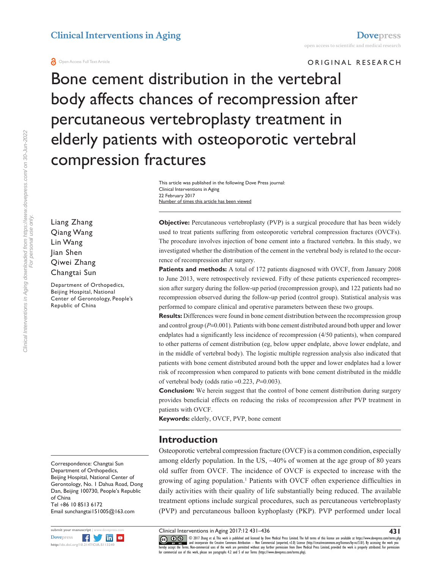Liang Zhang Qiang Wang Lin Wang Jian Shen Qiwei Zhang Changtai Sun

Department of Orthopedics, Beijing Hospital, National Center of Gerontology, People's

Republic of China

ORIGINAL RESEARCH

Bone cement distribution in the vertebral body affects chances of recompression after percutaneous vertebroplasty treatment in elderly patients with osteoporotic vertebral compression fractures

> Number of times this article has been viewed This article was published in the following Dove Press journal: Clinical Interventions in Aging 22 February 2017

**Objective:** Percutaneous vertebroplasty (PVP) is a surgical procedure that has been widely used to treat patients suffering from osteoporotic vertebral compression fractures (OVCFs). The procedure involves injection of bone cement into a fractured vertebra. In this study, we investigated whether the distribution of the cement in the vertebral body is related to the occurrence of recompression after surgery.

Patients and methods: A total of 172 patients diagnosed with OVCF, from January 2008 to June 2013, were retrospectively reviewed. Fifty of these patients experienced recompression after surgery during the follow-up period (recompression group), and 122 patients had no recompression observed during the follow-up period (control group). Statistical analysis was performed to compare clinical and operative parameters between these two groups.

**Results:** Differences were found in bone cement distribution between the recompression group and control group (*P*=0.001). Patients with bone cement distributed around both upper and lower endplates had a significantly less incidence of recompression (4/50 patients), when compared to other patterns of cement distribution (eg, below upper endplate, above lower endplate, and in the middle of vertebral body). The logistic multiple regression analysis also indicated that patients with bone cement distributed around both the upper and lower endplates had a lower risk of recompression when compared to patients with bone cement distributed in the middle of vertebral body (odds ratio =0.223, *P*=0.003).

**Conclusion:** We herein suggest that the control of bone cement distribution during surgery provides beneficial effects on reducing the risks of recompression after PVP treatment in patients with OVCF.

**Keywords:** elderly, OVCF, PVP, bone cement

### **Introduction**

Osteoporotic vertebral compression fracture (OVCF) is a common condition, especially among elderly population. In the US,  $\sim$ 40% of women at the age group of 80 years old suffer from OVCF. The incidence of OVCF is expected to increase with the growing of aging population.<sup>1</sup> Patients with OVCF often experience difficulties in daily activities with their quality of life substantially being reduced. The available treatment options include surgical procedures, such as percutaneous vertebroplasty (PVP) and percutaneous balloon kyphoplasty (PKP). PVP performed under local

Clinical Interventions in Aging 2017:12 431–436

Clinical Interventions in Aging downloaded from https://www.dovepress.com/ on 30-Jun-2022 Clinical Interventions in Aging downloaded from https://www.dovepress.com/ on 30-Jun-2022 For personal use only. For personal use only.

> Correspondence: Changtai Sun Department of Orthopedics, Beijing Hospital, National Center of Gerontology, No. 1 Dahua Road, Dong Dan, Beijing 100730, People's Republic of China Tel +86 10 8513 6172 Email [sunchangtai151005@163.com](mailto:sunchangtai151005@163.com)



CC O S © 2017 Thang et al. This work is published and licensed by Dove Medical Press Limited. The full terms of this license are available at <https://www.dovepress.com/terms.php><br>[hereby accept the Terms](http://www.dovepress.com/permissions.php). Non-commercial uses

**431**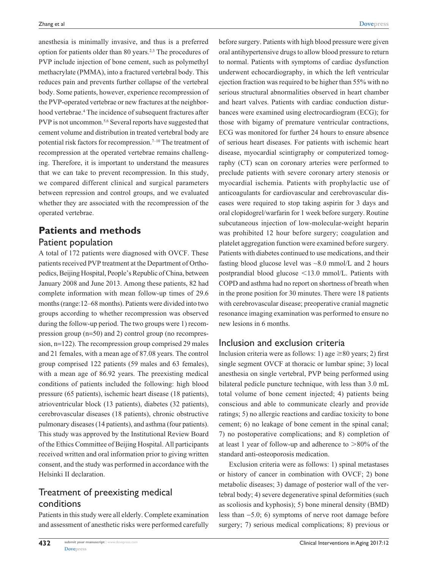anesthesia is minimally invasive, and thus is a preferred option for patients older than 80 years.2,3 The procedures of PVP include injection of bone cement, such as polymethyl methacrylate (PMMA), into a fractured vertebral body. This reduces pain and prevents further collapse of the vertebral body. Some patients, however, experience recompression of the PVP-operated vertebrae or new fractures at the neighborhood vertebrae.4 The incidence of subsequent fractures after PVP is not uncommon.<sup>5,6</sup> Several reports have suggested that cement volume and distribution in treated vertebral body are potential risk factors for recompression.<sup>7-10</sup> The treatment of recompression at the operated vertebrae remains challenging. Therefore, it is important to understand the measures that we can take to prevent recompression. In this study, we compared different clinical and surgical parameters between repression and control groups, and we evaluated whether they are associated with the recompression of the operated vertebrae.

## **Patients and methods** Patient population

A total of 172 patients were diagnosed with OVCF. These patients received PVP treatment at the Department of Orthopedics, Beijing Hospital, People's Republic of China, between January 2008 and June 2013. Among these patients, 82 had complete information with mean follow-up times of 29.6 months (range:12–68 months). Patients were divided into two groups according to whether recompression was observed during the follow-up period. The two groups were 1) recompression group (n=50) and 2) control group (no recompression, n=122). The recompression group comprised 29 males and 21 females, with a mean age of 87.08 years. The control group comprised 122 patients (59 males and 63 females), with a mean age of 86.92 years. The preexisting medical conditions of patients included the following: high blood pressure (65 patients), ischemic heart disease (18 patients), atrioventricular block (13 patients), diabetes (32 patients), cerebrovascular diseases (18 patients), chronic obstructive pulmonary diseases (14 patients), and asthma (four patients). This study was approved by the Institutional Review Board of the Ethics Committee of Beijing Hospital. All participants received written and oral information prior to giving written consent, and the study was performed in accordance with the Helsinki II declaration.

## Treatment of preexisting medical conditions

Patients in this study were all elderly. Complete examination and assessment of anesthetic risks were performed carefully before surgery. Patients with high blood pressure were given oral antihypertensive drugs to allow blood pressure to return to normal. Patients with symptoms of cardiac dysfunction underwent echocardiography, in which the left ventricular ejection fraction was required to be higher than 55% with no serious structural abnormalities observed in heart chamber and heart valves. Patients with cardiac conduction disturbances were examined using electrocardiogram (ECG); for those with bigamy of premature ventricular contractions, ECG was monitored for further 24 hours to ensure absence of serious heart diseases. For patients with ischemic heart disease, myocardial scintigraphy or computerized tomography (CT) scan on coronary arteries were performed to preclude patients with severe coronary artery stenosis or myocardial ischemia. Patients with prophylactic use of anticoagulants for cardiovascular and cerebrovascular diseases were required to stop taking aspirin for 3 days and oral clopidogrel/warfarin for 1 week before surgery. Routine subcutaneous injection of low-molecular-weight heparin was prohibited 12 hour before surgery; coagulation and platelet aggregation function were examined before surgery. Patients with diabetes continued to use medications, and their fasting blood glucose level was ~8.0 mmol/L and 2 hours postprandial blood glucose  $\leq$ 13.0 mmol/L. Patients with COPD and asthma had no report on shortness of breath when in the prone position for 30 minutes. There were 18 patients with cerebrovascular disease; preoperative cranial magnetic resonance imaging examination was performed to ensure no new lesions in 6 months.

### Inclusion and exclusion criteria

Inclusion criteria were as follows: 1) age  $\geq 80$  years; 2) first single segment OVCF at thoracic or lumbar spine; 3) local anesthesia on single vertebral, PVP being performed using bilateral pedicle puncture technique, with less than 3.0 mL total volume of bone cement injected; 4) patients being conscious and able to communicate clearly and provide ratings; 5) no allergic reactions and cardiac toxicity to bone cement; 6) no leakage of bone cement in the spinal canal; 7) no postoperative complications; and 8) completion of at least 1 year of follow-up and adherence to  $>80\%$  of the standard anti-osteoporosis medication.

Exclusion criteria were as follows: 1) spinal metastases or history of cancer in combination with OVCF; 2) bone metabolic diseases; 3) damage of posterior wall of the vertebral body; 4) severe degenerative spinal deformities (such as scoliosis and kyphosis); 5) bone mineral density (BMD) less than -5.0; 6) symptoms of nerve root damage before surgery; 7) serious medical complications; 8) previous or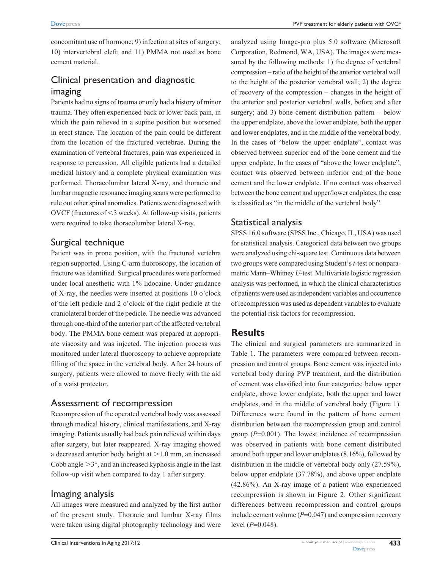concomitant use of hormone; 9) infection at sites of surgery; 10) intervertebral cleft; and 11) PMMA not used as bone cement material.

# Clinical presentation and diagnostic imaging

Patients had no signs of trauma or only had a history of minor trauma. They often experienced back or lower back pain, in which the pain relieved in a supine position but worsened in erect stance. The location of the pain could be different from the location of the fractured vertebrae. During the examination of vertebral fractures, pain was experienced in response to percussion. All eligible patients had a detailed medical history and a complete physical examination was performed. Thoracolumbar lateral X-ray, and thoracic and lumbar magnetic resonance imaging scans were performed to rule out other spinal anomalies. Patients were diagnosed with OVCF (fractures of  $\leq$ 3 weeks). At follow-up visits, patients were required to take thoracolumbar lateral X-ray.

### Surgical technique

Patient was in prone position, with the fractured vertebra region supported. Using C-arm fluoroscopy, the location of fracture was identified. Surgical procedures were performed under local anesthetic with 1% lidocaine. Under guidance of X-ray, the needles were inserted at positions 10 o'clock of the left pedicle and 2 o'clock of the right pedicle at the craniolateral border of the pedicle. The needle was advanced through one-third of the anterior part of the affected vertebral body. The PMMA bone cement was prepared at appropriate viscosity and was injected. The injection process was monitored under lateral fluoroscopy to achieve appropriate filling of the space in the vertebral body. After 24 hours of surgery, patients were allowed to move freely with the aid of a waist protector.

### Assessment of recompression

Recompression of the operated vertebral body was assessed through medical history, clinical manifestations, and X-ray imaging. Patients usually had back pain relieved within days after surgery, but later reappeared. X-ray imaging showed a decreased anterior body height at  $>1.0$  mm, an increased Cobb angle  $>3^\circ$ , and an increased kyphosis angle in the last follow-up visit when compared to day 1 after surgery.

## Imaging analysis

All images were measured and analyzed by the first author of the present study. Thoracic and lumbar X-ray films were taken using digital photography technology and were

analyzed using Image-pro plus 5.0 software (Microsoft Corporation, Redmond, WA, USA). The images were measured by the following methods: 1) the degree of vertebral compression – ratio of the height of the anterior vertebral wall to the height of the posterior vertebral wall; 2) the degree of recovery of the compression – changes in the height of the anterior and posterior vertebral walls, before and after surgery; and 3) bone cement distribution pattern  $-$  below the upper endplate, above the lower endplate, both the upper and lower endplates, and in the middle of the vertebral body. In the cases of "below the upper endplate", contact was observed between superior end of the bone cement and the upper endplate. In the cases of "above the lower endplate", contact was observed between inferior end of the bone cement and the lower endplate. If no contact was observed between the bone cement and upper/lower endplates, the case is classified as "in the middle of the vertebral body".

### Statistical analysis

SPSS 16.0 software (SPSS Inc., Chicago, IL, USA) was used for statistical analysis. Categorical data between two groups were analyzed using chi-square test. Continuous data between two groups were compared using Student's *t*-test or nonparametric Mann–Whitney *U*-test. Multivariate logistic regression analysis was performed, in which the clinical characteristics of patients were used as independent variables and occurrence of recompression was used as dependent variables to evaluate the potential risk factors for recompression.

### **Results**

The clinical and surgical parameters are summarized in Table 1. The parameters were compared between recompression and control groups. Bone cement was injected into vertebral body during PVP treatment, and the distribution of cement was classified into four categories: below upper endplate, above lower endplate, both the upper and lower endplates, and in the middle of vertebral body (Figure 1). Differences were found in the pattern of bone cement distribution between the recompression group and control group (*P*=0.001). The lowest incidence of recompression was observed in patients with bone cement distributed around both upper and lower endplates (8.16%), followed by distribution in the middle of vertebral body only (27.59%), below upper endplate (37.78%), and above upper endplate (42.86%). An X-ray image of a patient who experienced recompression is shown in Figure 2. Other significant differences between recompression and control groups include cement volume (*P*=0.047) and compression recovery level (*P*=0.048).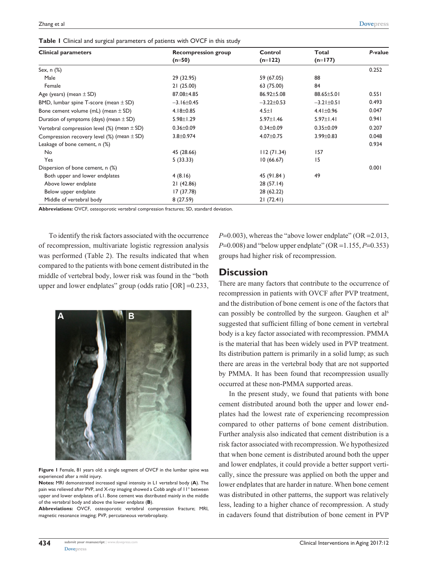| <b>Clinical parameters</b>                         | <b>Recompression group</b> | Control          | Total            | P-value |
|----------------------------------------------------|----------------------------|------------------|------------------|---------|
|                                                    | $(n=50)$                   | $(n=122)$        | $(n=177)$        |         |
| Sex, $n$ $(\%)$                                    |                            |                  |                  | 0.252   |
| Male                                               | 29 (32.95)                 | 59 (67.05)       | 88               |         |
| Female                                             | 21(25.00)                  | 63 (75.00)       | 84               |         |
| Age (years) (mean $\pm$ SD)                        | 87.08 ± 4.85               | 86.92±5.08       | 88.65±5.01       | 0.551   |
| BMD, lumbar spine T-score (mean $\pm$ SD)          | $-3.16 \pm 0.45$           | $-3.22 \pm 0.53$ | $-3.21 \pm 0.51$ | 0.493   |
| Bone cement volume (mL) (mean $\pm$ SD)            | $4.18 \pm 0.85$            | $4.5 \pm 1$      | $4.41 \pm 0.96$  | 0.047   |
| Duration of symptoms (days) (mean $\pm$ SD)        | $5.98 \pm 1.29$            | $5.97 \pm 1.46$  | $5.97 \pm 1.41$  | 0.941   |
| Vertebral compression level $(\%)$ (mean $\pm$ SD) | $0.36 \pm 0.09$            | $0.34 \pm 0.09$  | $0.35 \pm 0.09$  | 0.207   |
| Compression recovery level (%) (mean $\pm$ SD)     | $3.8 + 0.974$              | $4.07 \pm 0.75$  | $3.99 \pm 0.83$  | 0.048   |
| Leakage of bone cement, n (%)                      |                            |                  |                  | 0.934   |
| No                                                 | 45 (28.66)                 | 112(71.34)       | 157              |         |
| Yes                                                | 5(33.33)                   | 10(66.67)        | 15               |         |
| Dispersion of bone cement, n (%)                   |                            |                  |                  | 0.001   |
| Both upper and lower endplates                     | 4(8.16)                    | 45 (91.84)       | 49               |         |
| Above lower endplate                               | 21 (42.86)                 | 28(57.14)        |                  |         |
| Below upper endplate                               | 17(37.78)                  | 28 (62.22)       |                  |         |
| Middle of vertebral body                           | 8(27.59)                   | 21(72.41)        |                  |         |

**Abbreviations:** OVCF, osteoporotic vertebral compression fractures; SD, standard deviation.

To identify the risk factors associated with the occurrence of recompression, multivariate logistic regression analysis was performed (Table 2). The results indicated that when compared to the patients with bone cement distributed in the middle of vertebral body, lower risk was found in the "both upper and lower endplates" group (odds ratio [OR] =0.233,



**Figure 1** Female, 81 years old: a single segment of OVCF in the lumbar spine was experienced after a mild injury.

**Notes:** MRI demonstrated increased signal intensity in L1 vertebral body (**A**). The pain was relieved after PVP, and X-ray imaging showed a Cobb angle of 11° between upper and lower endplates of L1. Bone cement was distributed mainly in the middle of the vertebral body and above the lower endplate (**B**).

**Abbreviations:** OVCF, osteoporotic vertebral compression fracture; MRI, magnetic resonance imaging; PVP, percutaneous vertebroplasty.

*P*=0.003), whereas the "above lower endplate" (OR = 2.013, *P*=0.008) and "below upper endplate" (OR =1.155, *P*=0.353) groups had higher risk of recompression.

### **Discussion**

There are many factors that contribute to the occurrence of recompression in patients with OVCF after PVP treatment, and the distribution of bone cement is one of the factors that can possibly be controlled by the surgeon. Gaughen et al<sup>6</sup> suggested that sufficient filling of bone cement in vertebral body is a key factor associated with recompression. PMMA is the material that has been widely used in PVP treatment. Its distribution pattern is primarily in a solid lump; as such there are areas in the vertebral body that are not supported by PMMA. It has been found that recompression usually occurred at these non-PMMA supported areas.

In the present study, we found that patients with bone cement distributed around both the upper and lower endplates had the lowest rate of experiencing recompression compared to other patterns of bone cement distribution. Further analysis also indicated that cement distribution is a risk factor associated with recompression. We hypothesized that when bone cement is distributed around both the upper and lower endplates, it could provide a better support vertically, since the pressure was applied on both the upper and lower endplates that are harder in nature. When bone cement was distributed in other patterns, the support was relatively less, leading to a higher chance of recompression. A study in cadavers found that distribution of bone cement in PVP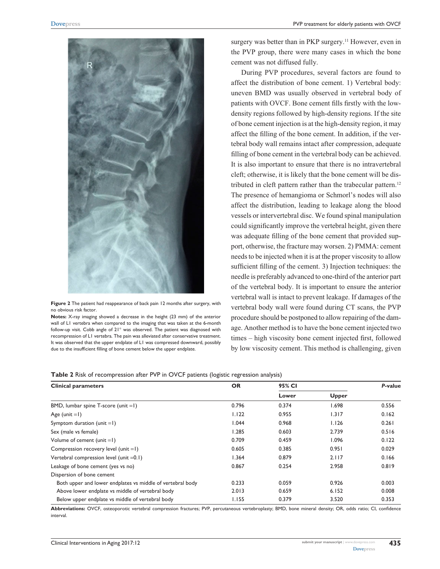

**Figure 2** The patient had reappearance of back pain 12 months after surgery, with no obvious risk factor.

**Notes:** X-ray imaging showed a decrease in the height (23 mm) of the anterior wall of L1 vertebra when compared to the imaging that was taken at the 6-month follow-up visit. Cobb angle of 21° was observed. The patient was diagnosed with recompression of L1 vertebra. The pain was alleviated after conservative treatment. It was observed that the upper endplate of L1 was compressed downward, possibly due to the insufficient filling of bone cement below the upper endplate.

surgery was better than in PKP surgery.<sup>11</sup> However, even in the PVP group, there were many cases in which the bone cement was not diffused fully.

During PVP procedures, several factors are found to affect the distribution of bone cement. 1) Vertebral body: uneven BMD was usually observed in vertebral body of patients with OVCF. Bone cement fills firstly with the lowdensity regions followed by high-density regions. If the site of bone cement injection is at the high-density region, it may affect the filling of the bone cement. In addition, if the vertebral body wall remains intact after compression, adequate filling of bone cement in the vertebral body can be achieved. It is also important to ensure that there is no intravertebral cleft; otherwise, it is likely that the bone cement will be distributed in cleft pattern rather than the trabecular pattern.<sup>12</sup> The presence of hemangioma or Schmorl's nodes will also affect the distribution, leading to leakage along the blood vessels or intervertebral disc. We found spinal manipulation could significantly improve the vertebral height, given there was adequate filling of the bone cement that provided support, otherwise, the fracture may worsen. 2) PMMA: cement needs to be injected when it is at the proper viscosity to allow sufficient filling of the cement. 3) Injection techniques: the needle is preferably advanced to one-third of the anterior part of the vertebral body. It is important to ensure the anterior vertebral wall is intact to prevent leakage. If damages of the vertebral body wall were found during CT scans, the PVP procedure should be postponed to allow repairing of the damage. Another method is to have the bone cement injected two times – high viscosity bone cement injected first, followed by low viscosity cement. This method is challenging, given

#### **Table 2** Risk of recompression after PVP in OVCF patients (logistic regression analysis)

| <b>Clinical parameters</b>                                 | <b>OR</b> | 95% CI |              | P-value |
|------------------------------------------------------------|-----------|--------|--------------|---------|
|                                                            |           | Lower  | <b>Upper</b> |         |
| BMD, lumbar spine T-score (unit $=1$ )                     | 0.796     | 0.374  | 1.698        | 0.556   |
| Age (unit $=$ I)                                           | 1.122     | 0.955  | 1.317        | 0.162   |
| Symptom duration (unit $=1$ )                              | 1.044     | 0.968  | 1.126        | 0.261   |
| Sex (male vs female)                                       | 1.285     | 0.603  | 2.739        | 0.516   |
| Volume of cement $(unit = I)$                              | 0.709     | 0.459  | 1.096        | 0.122   |
| Compression recovery level (unit $=1$ )                    | 0.605     | 0.385  | 0.951        | 0.029   |
| Vertebral compression level (unit $=0.1$ )                 | 1.364     | 0.879  | 2.117        | 0.166   |
| Leakage of bone cement (yes vs no)                         | 0.867     | 0.254  | 2.958        | 0.819   |
| Dispersion of bone cement                                  |           |        |              |         |
| Both upper and lower endplates vs middle of vertebral body | 0.233     | 0.059  | 0.926        | 0.003   |
| Above lower endplate vs middle of vertebral body           | 2.013     | 0.659  | 6.152        | 0.008   |
| Below upper endplate vs middle of vertebral body           | 1.155     | 0.379  | 3.520        | 0.353   |

**Abbreviations:** OVCF, osteoporotic vertebral compression fractures; PVP, percutaneous vertebroplasty; BMD, bone mineral density; OR, odds ratio; CI, confidence interval.